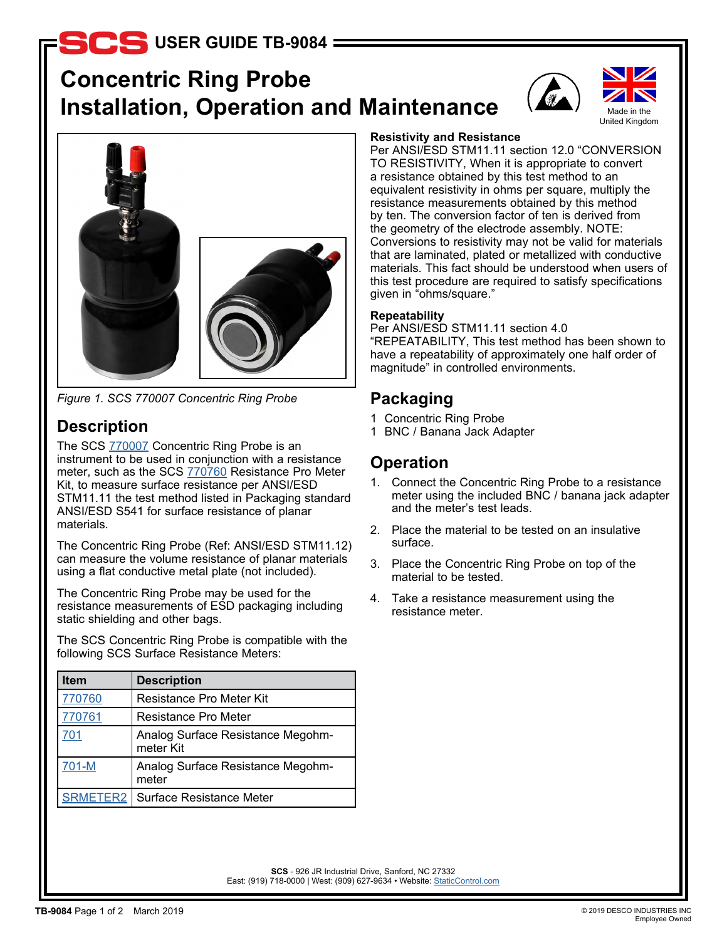# **S**USER GUIDE TB-9084

# **Concentric Ring Probe Installation, Operation and Maintenance**





*Figure 1. SCS 770007 Concentric Ring Probe*

# **Description**

The SCS **[770007](http://staticcontrol.descoindustries.com/SCSCatalog/Test-Instruments/701-Test-Kit-for-Static-Control-Surfaces/770007/)** Concentric Ring Probe is an instrument to be used in conjunction with a resistance meter, such as the SCS [770760](https://staticcontrol.descoindustries.com/SCSCatalog/Test-Instruments/Resistance-Pro-Meter/770760/) Resistance Pro Meter Kit, to measure surface resistance per ANSI/ESD STM11.11 the test method listed in Packaging standard ANSI/ESD S541 for surface resistance of planar materials.

The Concentric Ring Probe (Ref: ANSI/ESD STM11.12) can measure the volume resistance of planar materials using a flat conductive metal plate (not included).

The Concentric Ring Probe may be used for the resistance measurements of ESD packaging including static shielding and other bags.

The SCS Concentric Ring Probe is compatible with the following SCS Surface Resistance Meters:

| <b>Item</b>     | <b>Description</b>                             |
|-----------------|------------------------------------------------|
| 770760          | <b>Resistance Pro Meter Kit</b>                |
| 770761          | Resistance Pro Meter                           |
| 701             | Analog Surface Resistance Megohm-<br>meter Kit |
| 701-M           | Analog Surface Resistance Megohm-<br>meter     |
| <b>SRMETER2</b> | Surface Resistance Meter                       |

#### **Resistivity and Resistance**

Per ANSI/ESD STM11.11 section 12.0 "CONVERSION TO RESISTIVITY, When it is appropriate to convert a resistance obtained by this test method to an equivalent resistivity in ohms per square, multiply the resistance measurements obtained by this method by ten. The conversion factor of ten is derived from the geometry of the electrode assembly. NOTE: Conversions to resistivity may not be valid for materials that are laminated, plated or metallized with conductive materials. This fact should be understood when users of this test procedure are required to satisfy specifications given in "ohms/square."

#### **Repeatability**

Per ANSI/ESD STM11.11 section 4.0 "REPEATABILITY, This test method has been shown to have a repeatability of approximately one half order of magnitude" in controlled environments.

## **Packaging**

- 1 Concentric Ring Probe
- 1 BNC / Banana Jack Adapter

## **Operation**

- 1. Connect the Concentric Ring Probe to a resistance meter using the included BNC / banana jack adapter and the meter's test leads.
- 2. Place the material to be tested on an insulative surface.
- 3. Place the Concentric Ring Probe on top of the material to be tested.
- 4. Take a resistance measurement using the resistance meter.

**SCS** - 926 JR Industrial Drive, Sanford, NC 27332 East: (919) 718-0000 | West: (909) 627-9634 • Website: StaticControl.com